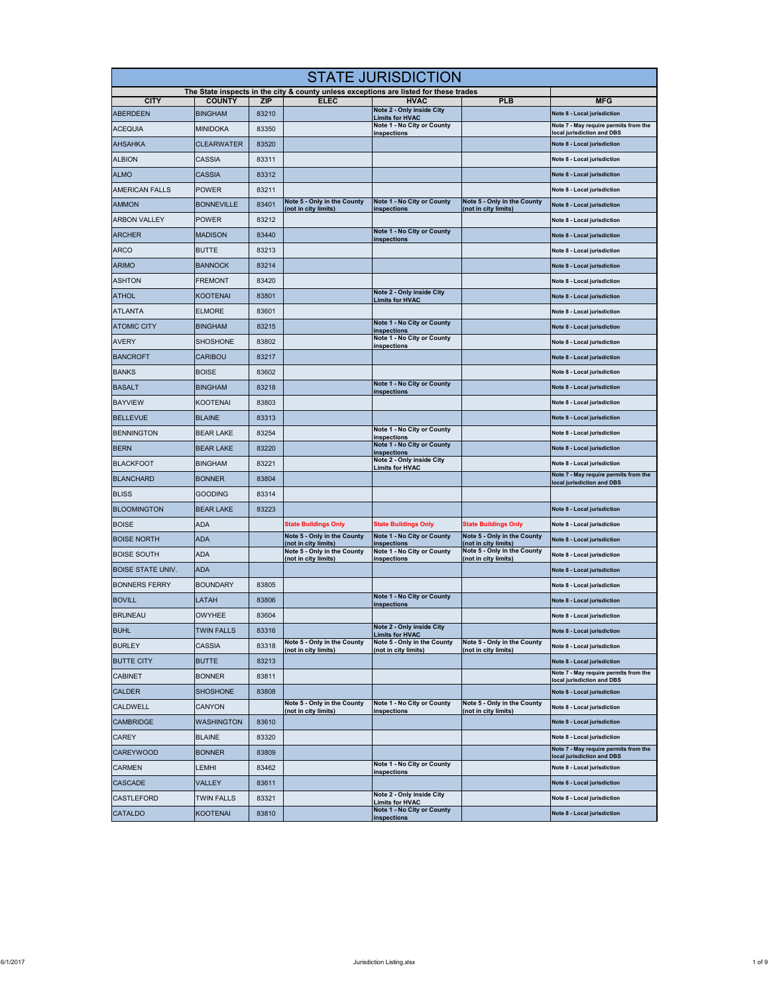| <b>STATE JURISDICTION</b> |                   |            |                                                            |                                                                                                      |                                                            |                                                                      |  |
|---------------------------|-------------------|------------|------------------------------------------------------------|------------------------------------------------------------------------------------------------------|------------------------------------------------------------|----------------------------------------------------------------------|--|
| <b>CITY</b>               | <b>COUNTY</b>     | <b>ZIP</b> | <b>ELEC</b>                                                | The State inspects in the city & county unless exceptions are listed for these trades<br><b>HVAC</b> | <b>PLB</b>                                                 | <b>MFG</b>                                                           |  |
| <b>ABERDEEN</b>           | <b>BINGHAM</b>    | 83210      |                                                            | Note 2 - Only inside City                                                                            |                                                            | Note 8 - Local jurisdiction                                          |  |
| <b>ACEQUIA</b>            | <b>MINIDOKA</b>   | 83350      |                                                            | <b>Limits for HVAC</b><br>Note 1 - No City or County                                                 |                                                            | Note 7 - May require permits from the                                |  |
| <b>AHSAHKA</b>            | <b>CLEARWATER</b> | 83520      |                                                            | inspections                                                                                          |                                                            | local jurisdiction and DBS<br>Note 8 - Local jurisdiction            |  |
| <b>ALBION</b>             | CASSIA            | 83311      |                                                            |                                                                                                      |                                                            | Note 8 - Local jurisdiction                                          |  |
| <b>ALMO</b>               | CASSIA            | 83312      |                                                            |                                                                                                      |                                                            | Note 8 - Local jurisdiction                                          |  |
| <b>AMERICAN FALLS</b>     | POWER             | 83211      |                                                            |                                                                                                      |                                                            | Note 8 - Local jurisdiction                                          |  |
| <b>AMMON</b>              | <b>BONNEVILLE</b> | 83401      | Note 5 - Only in the County                                | Note 1 - No City or County                                                                           | Note 5 - Only in the County                                | Note 8 - Local jurisdiction                                          |  |
| <b>ARBON VALLEY</b>       | <b>POWER</b>      | 83212      | (not in city limits)                                       | inspections                                                                                          | (not in city limits)                                       | Note 8 - Local jurisdiction                                          |  |
| <b>ARCHER</b>             | <b>MADISON</b>    | 83440      |                                                            | Note 1 - No City or County                                                                           |                                                            | Note 8 - Local jurisdiction                                          |  |
| <b>ARCO</b>               | <b>BUTTE</b>      | 83213      |                                                            | inspections                                                                                          |                                                            | Note 8 - Local jurisdiction                                          |  |
| <b>ARIMO</b>              | <b>BANNOCK</b>    | 83214      |                                                            |                                                                                                      |                                                            | Note 8 - Local jurisdiction                                          |  |
| <b>ASHTON</b>             | FREMONT           | 83420      |                                                            |                                                                                                      |                                                            | Note 8 - Local jurisdiction                                          |  |
| <b>ATHOL</b>              | <b>KOOTENAI</b>   | 83801      |                                                            | Note 2 - Only inside City                                                                            |                                                            | Note 8 - Local jurisdiction                                          |  |
| <b>ATLANTA</b>            | <b>ELMORE</b>     | 83601      |                                                            | <b>Limits for HVAC</b>                                                                               |                                                            | Note 8 - Local jurisdiction                                          |  |
| <b>ATOMIC CITY</b>        | <b>BINGHAM</b>    | 83215      |                                                            | Note 1 - No City or County                                                                           |                                                            | Note 8 - Local jurisdiction                                          |  |
| <b>AVERY</b>              | <b>SHOSHONE</b>   | 83802      |                                                            | <u>inspections</u><br>Note 1 - No City or County                                                     |                                                            | Note 8 - Local jurisdiction                                          |  |
| <b>BANCROFT</b>           | CARIBOU           | 83217      |                                                            | inspections                                                                                          |                                                            | Note 8 - Local jurisdiction                                          |  |
| <b>BANKS</b>              | <b>BOISE</b>      | 83602      |                                                            |                                                                                                      |                                                            |                                                                      |  |
| <b>BASALT</b>             | <b>BINGHAM</b>    | 83218      |                                                            | Note 1 - No City or County                                                                           |                                                            | Note 8 - Local jurisdiction                                          |  |
|                           |                   |            |                                                            | inspections                                                                                          |                                                            | Note 8 - Local jurisdiction                                          |  |
| <b>BAYVIEW</b>            | KOOTENAI          | 83803      |                                                            |                                                                                                      |                                                            | Note 8 - Local jurisdiction                                          |  |
| <b>BELLEVUE</b>           | <b>BLAINE</b>     | 83313      |                                                            | Note 1 - No City or County                                                                           |                                                            | Note 8 - Local jurisdiction                                          |  |
| <b>BENNINGTON</b>         | <b>BEAR LAKE</b>  | 83254      |                                                            | inspections<br>Note 1 - No City or County                                                            |                                                            | Note 8 - Local jurisdiction                                          |  |
| <b>BERN</b>               | <b>BEAR LAKE</b>  | 83220      |                                                            | inspections<br>Note 2 - Only inside City                                                             |                                                            | Note 8 - Local jurisdiction                                          |  |
| <b>BLACKFOOT</b>          | <b>BINGHAM</b>    | 83221      |                                                            | <b>Limits for HVAC</b>                                                                               |                                                            | Note 8 - Local jurisdiction<br>Note 7 - May require permits from the |  |
| <b>BLANCHARD</b>          | <b>BONNER</b>     | 83804      |                                                            |                                                                                                      |                                                            | local jurisdiction and DBS                                           |  |
| <b>BLISS</b>              | Gooding           | 83314      |                                                            |                                                                                                      |                                                            |                                                                      |  |
| <b>BLOOMINGTON</b>        | <b>BEAR LAKE</b>  | 83223      |                                                            |                                                                                                      |                                                            | Note 8 - Local jurisdiction                                          |  |
| <b>BOISE</b>              | ADA               |            | <b>State Buildings Only</b><br>Note 5 - Only in the County | <b>State Buildings Only</b><br>Note 1 - No City or County                                            | <b>State Buildings Only</b><br>Note 5 - Only in the County | Note 8 - Local jurisdiction                                          |  |
| <b>BOISE NORTH</b>        | ada               |            | (not in city limits)<br>Note 5 - Only in the County        | <b>inspections</b><br>Note 1 - No City or County                                                     | (not in city limits)<br>Note 5 - Only in the County        | Note 8 - Local jurisdiction                                          |  |
| <b>BOISE SOUTH</b>        | ADA               |            | (not in city limits)                                       | inspections                                                                                          | (not in city limits)                                       | Note 8 - Local jurisdiction                                          |  |
| <b>BOISE STATE UNIV.</b>  | <b>ADA</b>        |            |                                                            |                                                                                                      |                                                            | Note 8 - Local jurisdiction                                          |  |
| <b>BONNERS FERRY</b>      | <b>BOUNDARY</b>   | 83805      |                                                            |                                                                                                      |                                                            | Note 8 - Local jurisdiction                                          |  |
| <b>BOVILL</b>             | LATAH             | 83806      |                                                            | Note 1 - No City or County<br>inspections                                                            |                                                            | Note 8 - Local jurisdiction                                          |  |
| <b>BRUNEAU</b>            | OWYHEE            | 83604      |                                                            |                                                                                                      |                                                            | Note 8 - Local jurisdiction                                          |  |
| <b>BUHL</b>               | TWIN FALLS        | 83316      |                                                            | Note 2 - Only inside City<br><b>Limits for HVAC</b>                                                  |                                                            | Note 8 - Local jurisdiction                                          |  |
| <b>BURLEY</b>             | <b>CASSIA</b>     | 83318      | Note 5 - Only in the County<br>(not in city limits)        | Note 5 - Only in the County<br>(not in city limits)                                                  | Note 5 - Only in the County<br>(not in city limits)        | Note 8 - Local jurisdiction                                          |  |
| <b>BUTTE CITY</b>         | <b>BUTTE</b>      | 83213      |                                                            |                                                                                                      |                                                            | Note 8 - Local jurisdiction                                          |  |
| <b>CABINET</b>            | <b>BONNER</b>     | 83811      |                                                            |                                                                                                      |                                                            | Note 7 - May require permits from the<br>local jurisdiction and DBS  |  |
| <b>CALDER</b>             | <b>SHOSHONE</b>   | 83808      |                                                            |                                                                                                      |                                                            | Note 8 - Local jurisdiction                                          |  |
| CALDWELL                  | CANYON            |            | Note 5 - Only in the County<br>(not in city limits)        | Note 1 - No City or County<br><u>inspections</u>                                                     | Note 5 - Only in the County<br>(not in city limits)        | Note 8 - Local jurisdiction                                          |  |
| <b>CAMBRIDGE</b>          | <b>WASHINGTON</b> | 83610      |                                                            |                                                                                                      |                                                            | Note 8 - Local jurisdiction                                          |  |
| <b>CAREY</b>              | <b>BLAINE</b>     | 83320      |                                                            |                                                                                                      |                                                            | Note 8 - Local jurisdiction                                          |  |
| <b>CAREYWOOD</b>          | <b>BONNER</b>     | 83809      |                                                            |                                                                                                      |                                                            | Note 7 - May require permits from the<br>local jurisdiction and DBS  |  |
| <b>CARMEN</b>             | LEMHI             | 83462      |                                                            | Note 1 - No City or County<br>inspections                                                            |                                                            | Note 8 - Local jurisdiction                                          |  |
| <b>CASCADE</b>            | VALLEY            | 83611      |                                                            |                                                                                                      |                                                            | Note 8 - Local jurisdiction                                          |  |
| <b>CASTLEFORD</b>         | TWIN FALLS        | 83321      |                                                            | Note 2 - Only inside City<br><b>Limits for HVAC</b>                                                  |                                                            | Note 8 - Local jurisdiction                                          |  |
| <b>CATALDO</b>            | KOOTENAI          | 83810      |                                                            | Note 1 - No City or County<br>inspections                                                            |                                                            | Note 8 - Local jurisdiction                                          |  |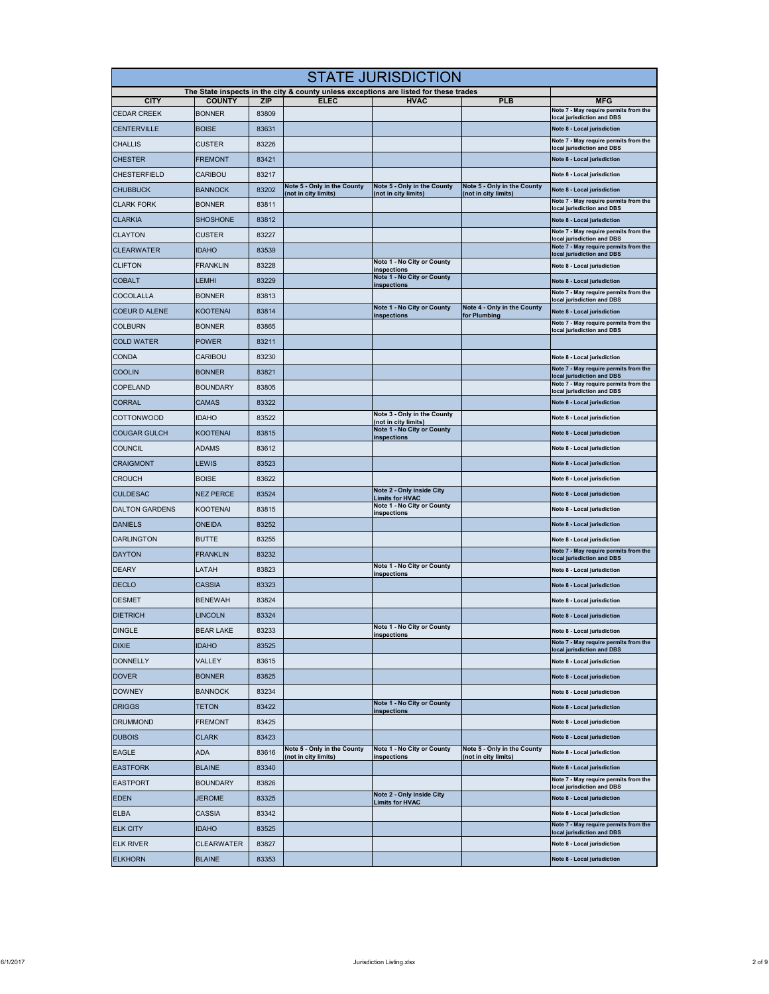|                       | <b>STATE JURISDICTION</b> |       |                                                     |                                                                                                      |                                                     |                                                                     |  |  |
|-----------------------|---------------------------|-------|-----------------------------------------------------|------------------------------------------------------------------------------------------------------|-----------------------------------------------------|---------------------------------------------------------------------|--|--|
| <b>CITY</b>           | <b>COUNTY</b>             | ZIP   | <b>ELEC</b>                                         | The State inspects in the city & county unless exceptions are listed for these trades<br><b>HVAC</b> | <b>PLB</b>                                          | <b>MFG</b>                                                          |  |  |
| <b>CEDAR CREEK</b>    | <b>BONNER</b>             | 83809 |                                                     |                                                                                                      |                                                     | Note 7 - May require permits from the                               |  |  |
| <b>CENTERVILLE</b>    | <b>BOISE</b>              | 83631 |                                                     |                                                                                                      |                                                     | local jurisdiction and DBS<br>Note 8 - Local jurisdiction           |  |  |
| <b>CHALLIS</b>        | CUSTER                    | 83226 |                                                     |                                                                                                      |                                                     | Note 7 - May require permits from the<br>local jurisdiction and DBS |  |  |
| <b>CHESTER</b>        | FREMONT                   | 83421 |                                                     |                                                                                                      |                                                     | Note 8 - Local jurisdiction                                         |  |  |
| <b>CHESTERFIELD</b>   | CARIBOU                   | 83217 |                                                     |                                                                                                      |                                                     | Note 8 - Local jurisdiction                                         |  |  |
| <b>CHUBBUCK</b>       | <b>BANNOCK</b>            | 83202 | Note 5 - Only in the County<br>(not in city limits) | Note 5 - Only in the County<br>(not in city limits)                                                  | Note 5 - Only in the County<br>(not in city limits) | Note 8 - Local jurisdiction                                         |  |  |
| <b>CLARK FORK</b>     | <b>BONNER</b>             | 83811 |                                                     |                                                                                                      |                                                     | Note 7 - May require permits from the<br>local jurisdiction and DBS |  |  |
| <b>CLARKIA</b>        | <b>SHOSHONE</b>           | 83812 |                                                     |                                                                                                      |                                                     | Note 8 - Local jurisdiction                                         |  |  |
| <b>CLAYTON</b>        | CUSTER                    | 83227 |                                                     |                                                                                                      |                                                     | Note 7 - May require permits from the<br>local jurisdiction and DBS |  |  |
| <b>CLEARWATER</b>     | <b>IDAHO</b>              | 83539 |                                                     |                                                                                                      |                                                     | Note 7 - May require permits from the<br>local jurisdiction and DBS |  |  |
| <b>CLIFTON</b>        | <b>FRANKLIN</b>           | 83228 |                                                     | Note 1 - No City or County<br>inspections                                                            |                                                     | Note 8 - Local jurisdiction                                         |  |  |
| <b>COBALT</b>         | LEMHI                     | 83229 |                                                     | Note 1 - No City or County<br>inspections                                                            |                                                     | Note 8 - Local jurisdiction                                         |  |  |
| COCOLALLA             | <b>BONNER</b>             | 83813 |                                                     |                                                                                                      |                                                     | Note 7 - May require permits from the<br>local jurisdiction and DBS |  |  |
| <b>COEUR D ALENE</b>  | <b>KOOTENAI</b>           | 83814 |                                                     | Note 1 - No City or County<br>inspections                                                            | Note 4 - Only in the County<br>for Plumbing         | Note 8 - Local jurisdiction                                         |  |  |
| <b>COLBURN</b>        | <b>BONNER</b>             | 83865 |                                                     |                                                                                                      |                                                     | Note 7 - May require permits from the<br>local jurisdiction and DBS |  |  |
| <b>COLD WATER</b>     | <b>POWER</b>              | 83211 |                                                     |                                                                                                      |                                                     |                                                                     |  |  |
| <b>CONDA</b>          | CARIBOU                   | 83230 |                                                     |                                                                                                      |                                                     | Note 8 - Local jurisdiction                                         |  |  |
| <b>COOLIN</b>         | <b>BONNER</b>             | 83821 |                                                     |                                                                                                      |                                                     | Note 7 - May require permits from the<br>local jurisdiction and DBS |  |  |
| COPELAND              | <b>BOUNDARY</b>           | 83805 |                                                     |                                                                                                      |                                                     | Note 7 - May require permits from the<br>local jurisdiction and DBS |  |  |
| <b>CORRAL</b>         | <b>CAMAS</b>              | 83322 |                                                     |                                                                                                      |                                                     | Note 8 - Local jurisdiction                                         |  |  |
| <b>COTTONWOOD</b>     | <b>IDAHO</b>              | 83522 |                                                     | Note 3 - Only in the County<br>(not in city limits)                                                  |                                                     | Note 8 - Local jurisdiction                                         |  |  |
| <b>COUGAR GULCH</b>   | <b>KOOTENAI</b>           | 83815 |                                                     | Note 1 - No City or County<br>inspections                                                            |                                                     | Note 8 - Local jurisdiction                                         |  |  |
| <b>COUNCIL</b>        | ADAMS                     | 83612 |                                                     |                                                                                                      |                                                     | Note 8 - Local jurisdiction                                         |  |  |
| <b>CRAIGMONT</b>      | LEWIS                     | 83523 |                                                     |                                                                                                      |                                                     | Note 8 - Local jurisdiction                                         |  |  |
| <b>CROUCH</b>         | <b>BOISE</b>              | 83622 |                                                     |                                                                                                      |                                                     | Note 8 - Local jurisdiction                                         |  |  |
| <b>CULDESAC</b>       | <b>NEZ PERCE</b>          | 83524 |                                                     | Note 2 - Only inside City<br><b>Limits for HVAC</b>                                                  |                                                     | Note 8 - Local jurisdiction                                         |  |  |
| <b>DALTON GARDENS</b> | <b>KOOTENAI</b>           | 83815 |                                                     | Note 1 - No City or County<br>inspections                                                            |                                                     | Note 8 - Local jurisdiction                                         |  |  |
| <b>DANIELS</b>        | ONEIDA                    | 83252 |                                                     |                                                                                                      |                                                     | Note 8 - Local jurisdiction                                         |  |  |
| <b>DARLINGTON</b>     | <b>BUTTE</b>              | 83255 |                                                     |                                                                                                      |                                                     | Note 8 - Local jurisdiction                                         |  |  |
| <b>DAYTON</b>         | <b>FRANKLIN</b>           | 83232 |                                                     |                                                                                                      |                                                     | Note 7 - May require permits from the<br>local jurisdiction and DBS |  |  |
| <b>DEARY</b>          | LATAH                     | 83823 |                                                     | Note 1 - No City or County<br>inspections                                                            |                                                     | Note 8 - Local jurisdiction                                         |  |  |
| <b>DECLO</b>          | CASSIA                    | 83323 |                                                     |                                                                                                      |                                                     | Note 8 - Local jurisdiction                                         |  |  |
| <b>DESMET</b>         | <b>BENEWAH</b>            | 83824 |                                                     |                                                                                                      |                                                     | Note 8 - Local jurisdiction                                         |  |  |
| <b>DIETRICH</b>       | LINCOLN                   | 83324 |                                                     |                                                                                                      |                                                     | Note 8 - Local jurisdiction                                         |  |  |
| <b>DINGLE</b>         | <b>BEAR LAKE</b>          | 83233 |                                                     | Note 1 - No City or County<br>inspections                                                            |                                                     | Note 8 - Local jurisdiction                                         |  |  |
| <b>DIXIE</b>          | <b>IDAHO</b>              | 83525 |                                                     |                                                                                                      |                                                     | Note 7 - May require permits from the<br>local jurisdiction and DBS |  |  |
| <b>DONNELLY</b>       | VALLEY                    | 83615 |                                                     |                                                                                                      |                                                     | Note 8 - Local jurisdiction                                         |  |  |
| <b>DOVER</b>          | <b>BONNER</b>             | 83825 |                                                     |                                                                                                      |                                                     | Note 8 - Local jurisdiction                                         |  |  |
| <b>DOWNEY</b>         | <b>BANNOCK</b>            | 83234 |                                                     |                                                                                                      |                                                     | Note 8 - Local jurisdiction                                         |  |  |
| <b>DRIGGS</b>         | <b>TETON</b>              | 83422 |                                                     | Note 1 - No City or County<br><b>inspections</b>                                                     |                                                     | Note 8 - Local jurisdiction                                         |  |  |
| <b>DRUMMOND</b>       | <b>FREMONT</b>            | 83425 |                                                     |                                                                                                      |                                                     | Note 8 - Local jurisdiction                                         |  |  |
| <b>DUBOIS</b>         | <b>CLARK</b>              | 83423 |                                                     |                                                                                                      |                                                     | Note 8 - Local jurisdiction                                         |  |  |
| <b>EAGLE</b>          | <b>ADA</b>                | 83616 | Note 5 - Only in the County<br>not in city limits)  | Note 1 - No City or County<br>inspections                                                            | Note 5 - Only in the County<br>(not in city limits) | Note 8 - Local jurisdiction                                         |  |  |
| <b>EASTFORK</b>       | <b>BLAINE</b>             | 83340 |                                                     |                                                                                                      |                                                     | Note 8 - Local jurisdiction                                         |  |  |
| <b>EASTPORT</b>       | <b>BOUNDARY</b>           | 83826 |                                                     |                                                                                                      |                                                     | Note 7 - May require permits from the<br>local jurisdiction and DBS |  |  |
| <b>EDEN</b>           | <b>JEROME</b>             | 83325 |                                                     | Note 2 - Only inside City<br><b>Limits for HVAC</b>                                                  |                                                     | Note 8 - Local jurisdiction                                         |  |  |
| <b>ELBA</b>           | CASSIA                    | 83342 |                                                     |                                                                                                      |                                                     | Note 8 - Local jurisdiction                                         |  |  |
| <b>ELK CITY</b>       | <b>IDAHO</b>              | 83525 |                                                     |                                                                                                      |                                                     | Note 7 - May require permits from the<br>local jurisdiction and DBS |  |  |
| <b>ELK RIVER</b>      | CLEARWATER                | 83827 |                                                     |                                                                                                      |                                                     | Note 8 - Local jurisdiction                                         |  |  |
| <b>ELKHORN</b>        | <b>BLAINE</b>             | 83353 |                                                     |                                                                                                      |                                                     | Note 8 - Local jurisdiction                                         |  |  |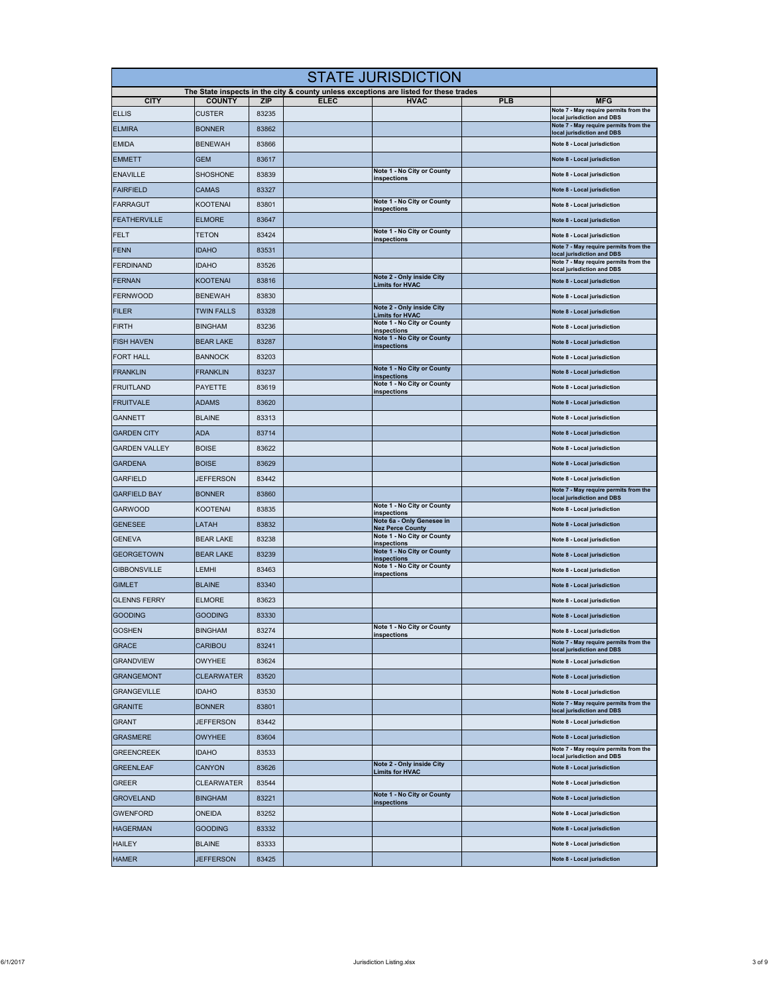| <b>STATE JURISDICTION</b> |                   |                     |             |                                                                                                      |            |                                                                                                   |  |
|---------------------------|-------------------|---------------------|-------------|------------------------------------------------------------------------------------------------------|------------|---------------------------------------------------------------------------------------------------|--|
| <b>CITY</b>               | <b>COUNTY</b>     |                     | <b>ELEC</b> | The State inspects in the city & county unless exceptions are listed for these trades<br><b>HVAC</b> | <b>PLB</b> |                                                                                                   |  |
| <b>ELLIS</b>              | <b>CUSTER</b>     | <b>ZIP</b><br>83235 |             |                                                                                                      |            | <b>MFG</b><br>Note 7 - May require permits from the                                               |  |
| <b>ELMIRA</b>             | <b>BONNER</b>     | 83862               |             |                                                                                                      |            | local jurisdiction and DBS<br>Note 7 - May require permits from the<br>local jurisdiction and DBS |  |
| <b>EMIDA</b>              | <b>BENEWAH</b>    | 83866               |             |                                                                                                      |            | Note 8 - Local jurisdiction                                                                       |  |
| <b>EMMETT</b>             | <b>GEM</b>        | 83617               |             |                                                                                                      |            | Note 8 - Local jurisdiction                                                                       |  |
| <b>ENAVILLE</b>           | SHOSHONE          | 83839               |             | Note 1 - No City or County<br>inspections                                                            |            | Note 8 - Local jurisdiction                                                                       |  |
| <b>FAIRFIELD</b>          | <b>CAMAS</b>      | 83327               |             |                                                                                                      |            | Note 8 - Local jurisdiction                                                                       |  |
| <b>FARRAGUT</b>           | <b>KOOTENAI</b>   | 83801               |             | Note 1 - No City or County<br>inspections                                                            |            | Note 8 - Local jurisdiction                                                                       |  |
| <b>FEATHERVILLE</b>       | <b>ELMORE</b>     | 83647               |             |                                                                                                      |            | Note 8 - Local jurisdiction                                                                       |  |
| <b>FELT</b>               | TETON             | 83424               |             | Note 1 - No City or County<br><u>inspections</u>                                                     |            | Note 8 - Local jurisdiction                                                                       |  |
| <b>FENN</b>               | <b>IDAHO</b>      | 83531               |             |                                                                                                      |            | Note 7 - May require permits from the<br>local jurisdiction and DBS                               |  |
| <b>FERDINAND</b>          | <b>IDAHO</b>      | 83526               |             |                                                                                                      |            | Note 7 - May require permits from the<br>local jurisdiction and DBS                               |  |
| <b>FERNAN</b>             | <b>KOOTENAI</b>   | 83816               |             | Note 2 - Only inside City<br><b>Limits for HVAC</b>                                                  |            | Note 8 - Local jurisdiction                                                                       |  |
| <b>FERNWOOD</b>           | <b>BENEWAH</b>    | 83830               |             |                                                                                                      |            | Note 8 - Local jurisdiction                                                                       |  |
| <b>FILER</b>              | <b>TWIN FALLS</b> | 83328               |             | Note 2 - Only inside City<br><b>Limits for HVAC</b>                                                  |            | Note 8 - Local jurisdiction                                                                       |  |
| <b>FIRTH</b>              | <b>BINGHAM</b>    | 83236               |             | Note 1 - No City or County<br><u>inspections</u>                                                     |            | Note 8 - Local jurisdiction                                                                       |  |
| <b>FISH HAVEN</b>         | <b>BEAR LAKE</b>  | 83287               |             | Note 1 - No City or County<br>inspections                                                            |            | Note 8 - Local jurisdiction                                                                       |  |
| <b>FORT HALL</b>          | <b>BANNOCK</b>    | 83203               |             |                                                                                                      |            | Note 8 - Local jurisdiction                                                                       |  |
| <b>FRANKLIN</b>           | <b>FRANKLIN</b>   | 83237               |             | Note 1 - No City or County<br><u>inspections</u>                                                     |            | Note 8 - Local jurisdiction                                                                       |  |
| <b>FRUITLAND</b>          | <b>PAYETTE</b>    | 83619               |             | Note 1 - No City or County<br>inspections                                                            |            | Note 8 - Local jurisdiction                                                                       |  |
| <b>FRUITVALE</b>          | <b>ADAMS</b>      | 83620               |             |                                                                                                      |            | Note 8 - Local jurisdiction                                                                       |  |
| <b>GANNETT</b>            | <b>BLAINE</b>     | 83313               |             |                                                                                                      |            | Note 8 - Local jurisdiction                                                                       |  |
| <b>GARDEN CITY</b>        | <b>ADA</b>        | 83714               |             |                                                                                                      |            | Note 8 - Local jurisdiction                                                                       |  |
| <b>GARDEN VALLEY</b>      | <b>BOISE</b>      | 83622               |             |                                                                                                      |            | Note 8 - Local jurisdiction                                                                       |  |
| <b>GARDENA</b>            | <b>BOISE</b>      | 83629               |             |                                                                                                      |            | Note 8 - Local jurisdiction                                                                       |  |
| <b>GARFIELD</b>           | JEFFERSON         | 83442               |             |                                                                                                      |            | Note 8 - Local jurisdiction                                                                       |  |
| <b>GARFIELD BAY</b>       | <b>BONNER</b>     | 83860               |             |                                                                                                      |            | Note 7 - May require permits from the<br>local jurisdiction and DBS                               |  |
| <b>GARWOOD</b>            | <b>KOOTENAI</b>   | 83835               |             | Note 1 - No City or County<br>inspections                                                            |            | Note 8 - Local jurisdiction                                                                       |  |
| <b>GENESEE</b>            | LATAH             | 83832               |             | Note 6a - Only Genesee in<br><b>Nez Perce County</b>                                                 |            | Note 8 - Local jurisdiction                                                                       |  |
| <b>GENEVA</b>             | <b>BEAR LAKE</b>  | 83238               |             | Note 1 - No City or County<br>inspections                                                            |            | Note 8 - Local jurisdiction                                                                       |  |
| <b>GEORGETOWN</b>         | <b>BEAR LAKE</b>  | 83239               |             | Note 1 - No City or County<br>inspections                                                            |            | Note 8 - Local jurisdiction                                                                       |  |
| <b>GIBBONSVILLE</b>       | EMHI.             | 83463               |             | Note 1 - No City or County<br>inspections                                                            |            | Note 8 - Local jurisdiction                                                                       |  |
| <b>GIMLET</b>             | <b>BLAINE</b>     | 83340               |             |                                                                                                      |            | Note 8 - Local jurisdiction                                                                       |  |
| <b>GLENNS FERRY</b>       | <b>ELMORE</b>     | 83623               |             |                                                                                                      |            | Note 8 - Local jurisdiction                                                                       |  |
| <b>GOODING</b>            | GOODING           | 83330               |             |                                                                                                      |            | Note 8 - Local jurisdiction                                                                       |  |
| <b>GOSHEN</b>             | <b>BINGHAM</b>    | 83274               |             | Note 1 - No City or County<br>inspections                                                            |            | Note 8 - Local jurisdiction                                                                       |  |
| <b>GRACE</b>              | CARIBOU           | 83241               |             |                                                                                                      |            | Note 7 - May require permits from the<br>local jurisdiction and DBS                               |  |
| <b>GRANDVIEW</b>          | <b>OWYHEE</b>     | 83624               |             |                                                                                                      |            | Note 8 - Local jurisdiction                                                                       |  |
| <b>GRANGEMONT</b>         | <b>CLEARWATER</b> | 83520               |             |                                                                                                      |            | Note 8 - Local jurisdiction                                                                       |  |
| <b>GRANGEVILLE</b>        | <b>IDAHO</b>      | 83530               |             |                                                                                                      |            | Note 8 - Local jurisdiction                                                                       |  |
| <b>GRANITE</b>            | <b>BONNER</b>     | 83801               |             |                                                                                                      |            | Note 7 - May require permits from the<br>local jurisdiction and DBS                               |  |
| <b>GRANT</b>              | <b>JEFFERSON</b>  | 83442               |             |                                                                                                      |            | Note 8 - Local jurisdiction                                                                       |  |
| <b>GRASMERE</b>           | OWYHEE            | 83604               |             |                                                                                                      |            | Note 8 - Local jurisdiction                                                                       |  |
| <b>GREENCREEK</b>         | idaho             | 83533               |             |                                                                                                      |            | Note 7 - May require permits from the<br>local jurisdiction and DBS                               |  |
| <b>GREENLEAF</b>          | CANYON            | 83626               |             | Note 2 - Only inside City<br><b>Limits for HVAC</b>                                                  |            | Note 8 - Local jurisdiction                                                                       |  |
| <b>GREER</b>              | <b>CLEARWATER</b> | 83544               |             |                                                                                                      |            | Note 8 - Local jurisdiction                                                                       |  |
| <b>GROVELAND</b>          | <b>BINGHAM</b>    | 83221               |             | Note 1 - No City or County<br>inspections                                                            |            | Note 8 - Local jurisdiction                                                                       |  |
| <b>GWENFORD</b>           | ONEIDA            | 83252               |             |                                                                                                      |            | Note 8 - Local jurisdiction                                                                       |  |
| <b>HAGERMAN</b>           | <b>GOODING</b>    | 83332               |             |                                                                                                      |            | Note 8 - Local jurisdiction                                                                       |  |
| <b>HAILEY</b>             | <b>BLAINE</b>     | 83333               |             |                                                                                                      |            | Note 8 - Local jurisdiction                                                                       |  |
| <b>HAMER</b>              | <b>JEFFERSON</b>  | 83425               |             |                                                                                                      |            | Note 8 - Local jurisdiction                                                                       |  |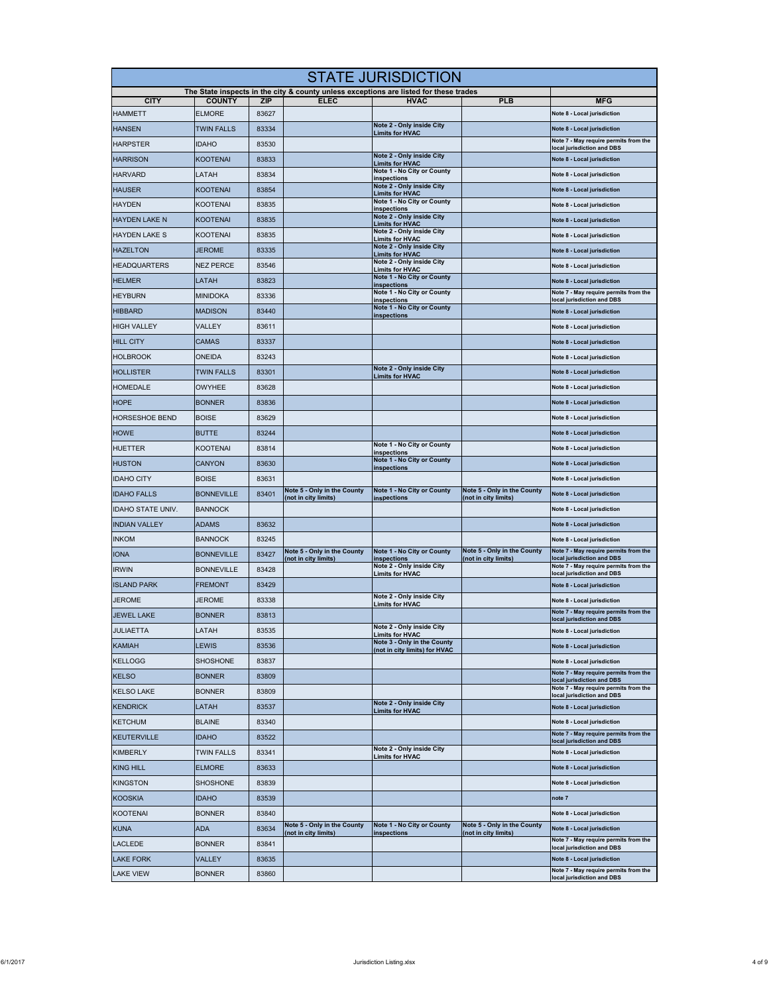|                          | <b>STATE JURISDICTION</b> |            |                                                     |                                                                                                      |                                                     |                                                                     |  |  |
|--------------------------|---------------------------|------------|-----------------------------------------------------|------------------------------------------------------------------------------------------------------|-----------------------------------------------------|---------------------------------------------------------------------|--|--|
| <b>CITY</b>              | <b>COUNTY</b>             | <b>ZIP</b> | <b>ELEC</b>                                         | The State inspects in the city & county unless exceptions are listed for these trades<br><b>HVAC</b> | <b>PLB</b>                                          | <b>MFG</b>                                                          |  |  |
| <b>HAMMETT</b>           | <b>ELMORE</b>             | 83627      |                                                     |                                                                                                      |                                                     | Note 8 - Local jurisdiction                                         |  |  |
| <b>HANSEN</b>            | TWIN FALLS                | 83334      |                                                     | Note 2 - Only inside City                                                                            |                                                     | Note 8 - Local jurisdiction                                         |  |  |
| <b>HARPSTER</b>          | <b>IDAHO</b>              | 83530      |                                                     | <b>Limits for HVAC</b>                                                                               |                                                     | Note 7 - May require permits from the                               |  |  |
| <b>HARRISON</b>          | KOOTENAI                  | 83833      |                                                     | Note 2 - Only inside City                                                                            |                                                     | local jurisdiction and DBS<br>Note 8 - Local jurisdiction           |  |  |
| <b>HARVARD</b>           | LATAH                     | 83834      |                                                     | <b>Limits for HVAC</b><br>Note 1 - No City or County                                                 |                                                     | Note 8 - Local jurisdiction                                         |  |  |
| <b>HAUSER</b>            | KOOTENAI                  | 83854      |                                                     | inspections<br>Note 2 - Only inside City                                                             |                                                     | Note 8 - Local jurisdiction                                         |  |  |
| <b>HAYDEN</b>            | <b>KOOTENAI</b>           | 83835      |                                                     | <b>Limits for HVAC</b><br>Note 1 - No City or County                                                 |                                                     | Note 8 - Local jurisdiction                                         |  |  |
| <b>HAYDEN LAKE N</b>     | <b>KOOTENAI</b>           | 83835      |                                                     | inspections<br>Note 2 - Only inside City                                                             |                                                     | Note 8 - Local jurisdiction                                         |  |  |
| <b>HAYDEN LAKE S</b>     | KOOTENAI                  | 83835      |                                                     | <b>Limits for HVAC</b><br>Note 2 - Only inside City                                                  |                                                     | Note 8 - Local jurisdiction                                         |  |  |
| <b>HAZELTON</b>          | <b>JEROME</b>             | 83335      |                                                     | <b>Limits for HVAC</b><br>Note 2 - Only inside City                                                  |                                                     | Note 8 - Local jurisdiction                                         |  |  |
| <b>HEADQUARTERS</b>      | <b>NEZ PERCE</b>          | 83546      |                                                     | <b>Limits for HVAC</b><br>Note 2 - Only inside City                                                  |                                                     | Note 8 - Local jurisdiction                                         |  |  |
| <b>HELMER</b>            | LATAH                     | 83823      |                                                     | <b>Limits for HVAC</b><br>Note 1 - No City or County                                                 |                                                     | Note 8 - Local jurisdiction                                         |  |  |
|                          |                           |            |                                                     | <b>inspections</b><br>Note 1 - No City or County                                                     |                                                     | Note 7 - May require permits from the                               |  |  |
| <b>HEYBURN</b>           | <b>MINIDOKA</b>           | 83336      |                                                     | inspections<br>Note 1 - No City or County                                                            |                                                     | local jurisdiction and DBS                                          |  |  |
| <b>HIBBARD</b>           | <b>MADISON</b>            | 83440      |                                                     | inspections                                                                                          |                                                     | Note 8 - Local jurisdiction                                         |  |  |
| <b>HIGH VALLEY</b>       | VALLEY                    | 83611      |                                                     |                                                                                                      |                                                     | Note 8 - Local jurisdiction                                         |  |  |
| <b>HILL CITY</b>         | CAMAS                     | 83337      |                                                     |                                                                                                      |                                                     | Note 8 - Local jurisdiction                                         |  |  |
| <b>HOLBROOK</b>          | ONEIDA                    | 83243      |                                                     | Note 2 - Only inside City                                                                            |                                                     | Note 8 - Local jurisdiction                                         |  |  |
| <b>HOLLISTER</b>         | <b>TWIN FALLS</b>         | 83301      |                                                     | <b>Limits for HVAC</b>                                                                               |                                                     | Note 8 - Local jurisdiction                                         |  |  |
| <b>HOMEDALE</b>          | OWYHEE                    | 83628      |                                                     |                                                                                                      |                                                     | Note 8 - Local jurisdiction                                         |  |  |
| <b>HOPE</b>              | <b>BONNER</b>             | 83836      |                                                     |                                                                                                      |                                                     | Note 8 - Local jurisdiction                                         |  |  |
| <b>HORSESHOE BEND</b>    | <b>BOISE</b>              | 83629      |                                                     |                                                                                                      |                                                     | Note 8 - Local jurisdiction                                         |  |  |
| <b>HOWE</b>              | <b>BUTTE</b>              | 83244      |                                                     |                                                                                                      |                                                     | Note 8 - Local jurisdiction                                         |  |  |
| <b>HUETTER</b>           | KOOTENAI                  | 83814      |                                                     | Note 1 - No City or County<br>inspections                                                            |                                                     | Note 8 - Local jurisdiction                                         |  |  |
| <b>HUSTON</b>            | <b>CANYON</b>             | 83630      |                                                     | Note 1 - No City or County<br>inspections                                                            |                                                     | Note 8 - Local jurisdiction                                         |  |  |
| <b>IDAHO CITY</b>        | <b>BOISE</b>              | 83631      |                                                     |                                                                                                      |                                                     | Note 8 - Local jurisdiction                                         |  |  |
| <b>IDAHO FALLS</b>       | <b>BONNEVILLE</b>         | 83401      | Note 5 - Only in the County<br>(not in city limits) | Note 1 - No City or County<br>inspections                                                            | Note 5 - Only in the County<br>(not in city limits) | Note 8 - Local jurisdiction                                         |  |  |
| <b>IDAHO STATE UNIV.</b> | <b>BANNOCK</b>            |            |                                                     |                                                                                                      |                                                     | Note 8 - Local jurisdiction                                         |  |  |
| <b>INDIAN VALLEY</b>     | ADAMS                     | 83632      |                                                     |                                                                                                      |                                                     | Note 8 - Local jurisdiction                                         |  |  |
| <b>INKOM</b>             | <b>BANNOCK</b>            | 83245      |                                                     |                                                                                                      |                                                     | Note 8 - Local jurisdiction                                         |  |  |
| <b>IONA</b>              | <b>BONNEVILLE</b>         | 83427      | Note 5 - Only in the County<br>(not in city limits) | Note 1 - No City or County<br>inspections                                                            | Note 5 - Only in the County<br>(not in city limits) | Note 7 - May require permits from the<br>local jurisdiction and DBS |  |  |
| <b>IRWIN</b>             | BONNEVILLE                | 83428      |                                                     | Note 2 - Only inside City<br><b>Limits for HVAC</b>                                                  |                                                     | Note 7 - May require permits from the<br>local jurisdiction and DBS |  |  |
| <b>ISLAND PARK</b>       | <b>FREMONT</b>            | 83429      |                                                     |                                                                                                      |                                                     | Note 8 - Local jurisdiction                                         |  |  |
| <b>JEROME</b>            | <b>JEROME</b>             | 83338      |                                                     | Note 2 - Only inside City<br><b>Limits for HVAC</b>                                                  |                                                     | Note 8 - Local jurisdiction                                         |  |  |
| <b>JEWEL LAKE</b>        | <b>BONNER</b>             | 83813      |                                                     |                                                                                                      |                                                     | Note 7 - May require permits from the<br>local jurisdiction and DBS |  |  |
| <b>JULIAETTA</b>         | LATAH                     | 83535      |                                                     | Note 2 - Only inside City<br><b>Limits for HVAC</b>                                                  |                                                     | Note 8 - Local jurisdiction                                         |  |  |
| <b>KAMIAH</b>            | LEWIS                     | 83536      |                                                     | Note 3 - Only in the County<br>(not in city limits) for HVAC                                         |                                                     | Note 8 - Local jurisdiction                                         |  |  |
| <b>KELLOGG</b>           | <b>SHOSHONE</b>           | 83837      |                                                     |                                                                                                      |                                                     | Note 8 - Local jurisdiction                                         |  |  |
| <b>KELSO</b>             | <b>BONNER</b>             | 83809      |                                                     |                                                                                                      |                                                     | Note 7 - May require permits from the<br>local jurisdiction and DBS |  |  |
| <b>KELSO LAKE</b>        | <b>BONNER</b>             | 83809      |                                                     |                                                                                                      |                                                     | Note 7 - May require permits from the<br>local jurisdiction and DBS |  |  |
| <b>KENDRICK</b>          | LATAH                     | 83537      |                                                     | Note 2 - Only inside City<br><b>Limits for HVAC</b>                                                  |                                                     | Note 8 - Local jurisdiction                                         |  |  |
| <b>KETCHUM</b>           | <b>BLAINE</b>             | 83340      |                                                     |                                                                                                      |                                                     | Note 8 - Local jurisdiction                                         |  |  |
| <b>KEUTERVILLE</b>       | idaho                     | 83522      |                                                     |                                                                                                      |                                                     | Note 7 - May require permits from the<br>local jurisdiction and DBS |  |  |
| <b>KIMBERLY</b>          | <b>TWIN FALLS</b>         | 83341      |                                                     | Note 2 - Only inside City<br><b>Limits for HVAC</b>                                                  |                                                     | Note 8 - Local jurisdiction                                         |  |  |
| <b>KING HILL</b>         | <b>ELMORE</b>             | 83633      |                                                     |                                                                                                      |                                                     | Note 8 - Local jurisdiction                                         |  |  |
| <b>KINGSTON</b>          | SHOSHONE                  | 83839      |                                                     |                                                                                                      |                                                     | Note 8 - Local jurisdiction                                         |  |  |
| <b>KOOSKIA</b>           | <b>IDAHO</b>              | 83539      |                                                     |                                                                                                      |                                                     | note 7                                                              |  |  |
| <b>KOOTENAI</b>          | <b>BONNER</b>             | 83840      |                                                     |                                                                                                      |                                                     | Note 8 - Local jurisdiction                                         |  |  |
| <b>KUNA</b>              | <b>ADA</b>                | 83634      | Note 5 - Only in the County                         | Note 1 - No City or County                                                                           | Note 5 - Only in the County                         | Note 8 - Local jurisdiction                                         |  |  |
| <b>LACLEDE</b>           | <b>BONNER</b>             | 83841      | (not in city limits)                                | inspections                                                                                          | (not in city limits)                                | Note 7 - May require permits from the                               |  |  |
| <b>LAKE FORK</b>         | VALLEY                    | 83635      |                                                     |                                                                                                      |                                                     | local jurisdiction and DBS<br>Note 8 - Local jurisdiction           |  |  |
| <b>LAKE VIEW</b>         | <b>BONNER</b>             | 83860      |                                                     |                                                                                                      |                                                     | Note 7 - May require permits from the<br>local jurisdiction and DBS |  |  |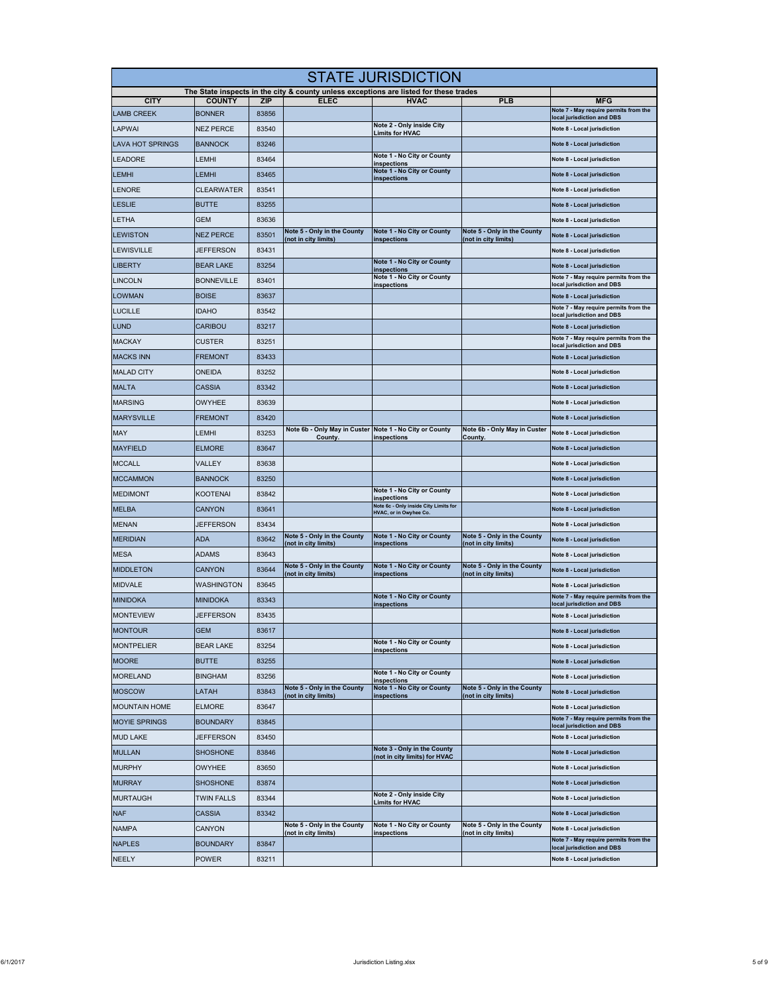| <b>STATE JURISDICTION</b> |                   |                     |                                                                                                      |                                                                 |                                                     |                                                                      |  |
|---------------------------|-------------------|---------------------|------------------------------------------------------------------------------------------------------|-----------------------------------------------------------------|-----------------------------------------------------|----------------------------------------------------------------------|--|
| <b>CITY</b>               | <b>COUNTY</b>     |                     | The State inspects in the city & county unless exceptions are listed for these trades<br><b>ELEC</b> | <b>HVAC</b>                                                     | <b>PLB</b>                                          |                                                                      |  |
| <b>LAMB CREEK</b>         | <b>BONNER</b>     | <b>ZIP</b><br>83856 |                                                                                                      |                                                                 |                                                     | <b>MFG</b><br>Note 7 - May require permits from the                  |  |
| LAPWAI                    | <b>NEZ PERCE</b>  | 83540               |                                                                                                      | Note 2 - Only inside City                                       |                                                     | local jurisdiction and DBS<br>Note 8 - Local jurisdiction            |  |
| <b>LAVA HOT SPRINGS</b>   | <b>BANNOCK</b>    | 83246               |                                                                                                      | <b>Limits for HVAC</b>                                          |                                                     | Note 8 - Local jurisdiction                                          |  |
| <b>LEADORE</b>            | _EMHI             | 83464               |                                                                                                      | Note 1 - No City or County                                      |                                                     | Note 8 - Local jurisdiction                                          |  |
| <b>LEMHI</b>              | _EMHI             | 83465               |                                                                                                      | inspections<br>Note 1 - No City or County                       |                                                     | Note 8 - Local jurisdiction                                          |  |
| <b>LENORE</b>             | CLEARWATER        | 83541               |                                                                                                      | inspections                                                     |                                                     | Note 8 - Local jurisdiction                                          |  |
|                           |                   |                     |                                                                                                      |                                                                 |                                                     |                                                                      |  |
| <b>LESLIE</b>             | <b>BUTTE</b>      | 83255               |                                                                                                      |                                                                 |                                                     | Note 8 - Local jurisdiction                                          |  |
| LETHA                     | GEM               | 83636               | Note 5 - Only in the County                                                                          | Note 1 - No City or County                                      | Note 5 - Only in the County                         | Note 8 - Local jurisdiction                                          |  |
| LEWISTON                  | <b>NEZ PERCE</b>  | 83501               | (not in city limits)                                                                                 | inspections                                                     | (not in city limits)                                | Note 8 - Local jurisdiction                                          |  |
| <b>LEWISVILLE</b>         | JEFFERSON         | 83431               |                                                                                                      | Note 1 - No City or County                                      |                                                     | Note 8 - Local jurisdiction                                          |  |
| <b>LIBERTY</b>            | <b>BEAR LAKE</b>  | 83254               |                                                                                                      | inspections<br>Note 1 - No City or County                       |                                                     | Note 8 - Local jurisdiction<br>Note 7 - May require permits from the |  |
| <b>LINCOLN</b>            | <b>BONNEVILLE</b> | 83401               |                                                                                                      | inspections                                                     |                                                     | local jurisdiction and DBS                                           |  |
| <b>LOWMAN</b>             | <b>BOISE</b>      | 83637               |                                                                                                      |                                                                 |                                                     | Note 8 - Local jurisdiction<br>Note 7 - May require permits from the |  |
| <b>LUCILLE</b>            | <b>IDAHO</b>      | 83542               |                                                                                                      |                                                                 |                                                     | local jurisdiction and DBS                                           |  |
| <b>LUND</b>               | <b>CARIBOU</b>    | 83217               |                                                                                                      |                                                                 |                                                     | Note 8 - Local jurisdiction                                          |  |
| <b>MACKAY</b>             | <b>CUSTER</b>     | 83251               |                                                                                                      |                                                                 |                                                     | Note 7 - May require permits from the<br>local jurisdiction and DBS  |  |
| <b>MACKS INN</b>          | <b>FREMONT</b>    | 83433               |                                                                                                      |                                                                 |                                                     | Note 8 - Local jurisdiction                                          |  |
| <b>MALAD CITY</b>         | ONEIDA            | 83252               |                                                                                                      |                                                                 |                                                     | Note 8 - Local jurisdiction                                          |  |
| <b>MALTA</b>              | CASSIA            | 83342               |                                                                                                      |                                                                 |                                                     | Note 8 - Local jurisdiction                                          |  |
| <b>MARSING</b>            | OWYHEE            | 83639               |                                                                                                      |                                                                 |                                                     | Note 8 - Local jurisdiction                                          |  |
| <b>MARYSVILLE</b>         | <b>FREMONT</b>    | 83420               |                                                                                                      |                                                                 |                                                     | Note 8 - Local jurisdiction                                          |  |
| MAY                       | EMHI.             | 83253               | Note 6b - Only May in Custer Note 1 - No City or County<br>County.                                   | inspections                                                     | Note 6b - Only May in Custer<br>County.             | Note 8 - Local jurisdiction                                          |  |
| <b>MAYFIELD</b>           | <b>ELMORE</b>     | 83647               |                                                                                                      |                                                                 |                                                     | Note 8 - Local jurisdiction                                          |  |
| <b>MCCALL</b>             | VALLEY            | 83638               |                                                                                                      |                                                                 |                                                     | Note 8 - Local jurisdiction                                          |  |
| <b>MCCAMMON</b>           | <b>BANNOCK</b>    | 83250               |                                                                                                      |                                                                 |                                                     | Note 8 - Local jurisdiction                                          |  |
| <b>MEDIMONT</b>           | KOOTENAI          | 83842               |                                                                                                      | Note 1 - No City or County<br>inspections                       |                                                     | Note 8 - Local jurisdiction                                          |  |
| <b>MELBA</b>              | <b>CANYON</b>     | 83641               |                                                                                                      | Note 6c - Only inside City Limits for<br>HVAC, or in Owyhee Co. |                                                     | Note 8 - Local jurisdiction                                          |  |
| <b>MENAN</b>              | JEFFERSON         | 83434               |                                                                                                      |                                                                 |                                                     | Note 8 - Local jurisdiction                                          |  |
| <b>MERIDIAN</b>           | ADA               | 83642               | Note 5 - Only in the County<br>(not in city limits)                                                  | Note 1 - No City or County<br>inspections                       | Note 5 - Only in the County<br>(not in city limits) | Note 8 - Local jurisdiction                                          |  |
| MESA                      | ADAMS             | 83643               |                                                                                                      |                                                                 |                                                     | Note 8 - Local jurisdiction                                          |  |
| <b>MIDDLETON</b>          | <b>CANYON</b>     | 83644               | Note 5 - Only in the County<br>(not in city limits)                                                  | Note 1 - No City or County<br>inspections                       | Note 5 - Only in the County<br>(not in city limits) | Note 8 - Local jurisdiction                                          |  |
| <b>MIDVALE</b>            | WASHINGTON        | 83645               |                                                                                                      |                                                                 |                                                     | Note 8 - Local jurisdiction                                          |  |
| <b>MINIDOKA</b>           | MINIDOKA          | 83343               |                                                                                                      | Note 1 - No City or County<br>inspections                       |                                                     | Note 7 - May require permits from the<br>local jurisdiction and DBS  |  |
| <b>MONTEVIEW</b>          | <b>JEFFERSON</b>  | 83435               |                                                                                                      |                                                                 |                                                     | Note 8 - Local jurisdiction                                          |  |
| <b>MONTOUR</b>            | GEM               | 83617               |                                                                                                      |                                                                 |                                                     | Note 8 - Local jurisdiction                                          |  |
| <b>MONTPELIER</b>         | <b>BEAR LAKE</b>  | 83254               |                                                                                                      | Note 1 - No City or County<br>inspections                       |                                                     | Note 8 - Local jurisdiction                                          |  |
| <b>MOORE</b>              | <b>BUTTE</b>      | 83255               |                                                                                                      |                                                                 |                                                     | Note 8 - Local jurisdiction                                          |  |
| <b>MORELAND</b>           | <b>BINGHAM</b>    | 83256               |                                                                                                      | Note 1 - No City or County<br>inspections                       |                                                     | Note 8 - Local jurisdiction                                          |  |
| <b>MOSCOW</b>             | LATAH             | 83843               | Note 5 - Only in the County                                                                          | Note 1 - No City or County<br>inspections                       | Note 5 - Only in the County                         | Note 8 - Local jurisdiction                                          |  |
| <b>MOUNTAIN HOME</b>      | ELMORE            | 83647               | (not in city limits)                                                                                 |                                                                 | (not in city limits)                                | Note 8 - Local jurisdiction                                          |  |
| <b>MOYIE SPRINGS</b>      | <b>BOUNDARY</b>   | 83845               |                                                                                                      |                                                                 |                                                     | Note 7 - May require permits from the                                |  |
| <b>MUD LAKE</b>           | <b>JEFFERSON</b>  | 83450               |                                                                                                      |                                                                 |                                                     | local jurisdiction and DBS<br>Note 8 - Local jurisdiction            |  |
| <b>MULLAN</b>             | SHOSHONE          | 83846               |                                                                                                      | Note 3 - Only in the County                                     |                                                     | Note 8 - Local jurisdiction                                          |  |
| <b>MURPHY</b>             | <b>OWYHEE</b>     | 83650               |                                                                                                      | (not in city limits) for HVAC                                   |                                                     | Note 8 - Local jurisdiction                                          |  |
| <b>MURRAY</b>             | <b>SHOSHONE</b>   | 83874               |                                                                                                      |                                                                 |                                                     | Note 8 - Local jurisdiction                                          |  |
| <b>MURTAUGH</b>           | <b>TWIN FALLS</b> | 83344               |                                                                                                      | Note 2 - Only inside City                                       |                                                     | Note 8 - Local jurisdiction                                          |  |
| <b>NAF</b>                | CASSIA            | 83342               |                                                                                                      | <b>Limits for HVAC</b>                                          |                                                     | Note 8 - Local jurisdiction                                          |  |
| <b>NAMPA</b>              | CANYON            |                     | Note 5 - Only in the County                                                                          | Note 1 - No City or County                                      | Note 5 - Only in the County                         | Note 8 - Local jurisdiction                                          |  |
|                           |                   |                     | (not in city limits)                                                                                 | inspections                                                     | (not in city limits)                                | Note 7 - May require permits from the                                |  |
| <b>NAPLES</b>             | BOUNDARY          | 83847               |                                                                                                      |                                                                 |                                                     | local jurisdiction and DBS                                           |  |
| <b>NEELY</b>              | POWER             | 83211               |                                                                                                      |                                                                 |                                                     | Note 8 - Local jurisdiction                                          |  |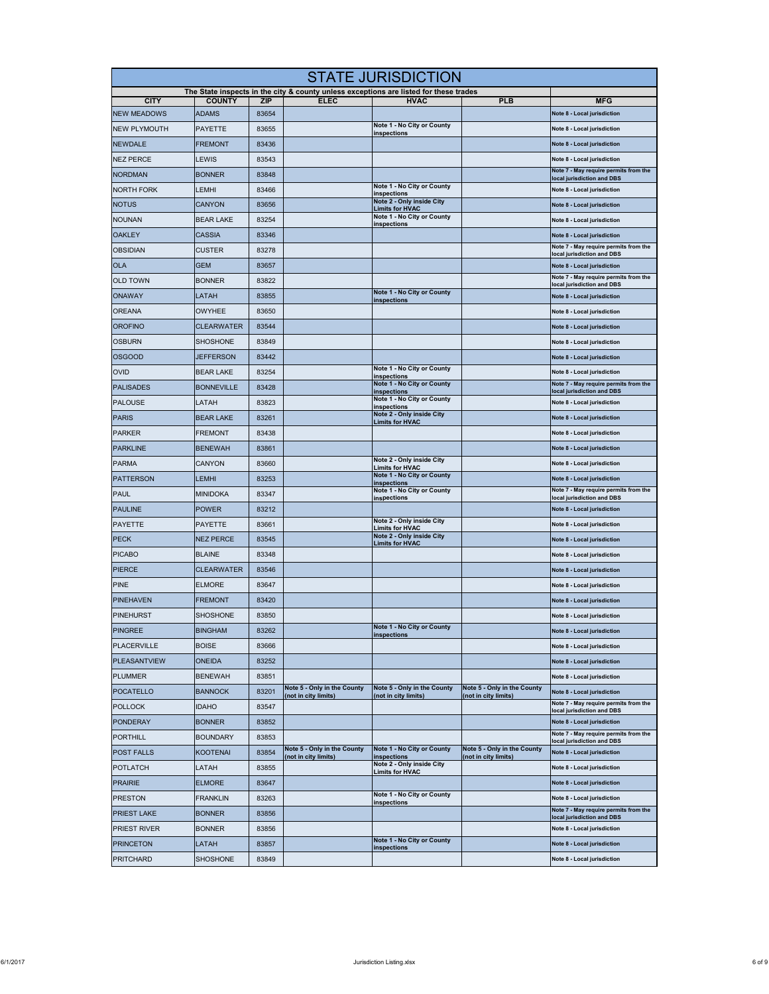|                     | <b>STATE JURISDICTION</b> |                     |                                                     |                                                                                                      |                                                     |                                                                     |  |  |
|---------------------|---------------------------|---------------------|-----------------------------------------------------|------------------------------------------------------------------------------------------------------|-----------------------------------------------------|---------------------------------------------------------------------|--|--|
| <b>CITY</b>         | <b>COUNTY</b>             |                     | <b>ELEC</b>                                         | The State inspects in the city & county unless exceptions are listed for these trades<br><b>HVAC</b> | <b>PLB</b>                                          | <b>MFG</b>                                                          |  |  |
| <b>NEW MEADOWS</b>  | <b>ADAMS</b>              | <b>ZIP</b><br>83654 |                                                     |                                                                                                      |                                                     | Note 8 - Local jurisdiction                                         |  |  |
| <b>NEW PLYMOUTH</b> | PAYETTE                   | 83655               |                                                     | Note 1 - No City or County                                                                           |                                                     | Note 8 - Local jurisdiction                                         |  |  |
| <b>NEWDALE</b>      | <b>FREMONT</b>            | 83436               |                                                     | inspections                                                                                          |                                                     | Note 8 - Local jurisdiction                                         |  |  |
| <b>NEZ PERCE</b>    | LEWIS                     | 83543               |                                                     |                                                                                                      |                                                     | Note 8 - Local jurisdiction                                         |  |  |
| <b>NORDMAN</b>      | <b>BONNER</b>             | 83848               |                                                     |                                                                                                      |                                                     | Note 7 - May require permits from the<br>local jurisdiction and DBS |  |  |
| <b>NORTH FORK</b>   | LEMHI                     | 83466               |                                                     | Note 1 - No City or County                                                                           |                                                     | Note 8 - Local jurisdiction                                         |  |  |
| <b>NOTUS</b>        | <b>CANYON</b>             | 83656               |                                                     | inspections<br>Note 2 - Only inside City                                                             |                                                     | Note 8 - Local jurisdiction                                         |  |  |
| <b>NOUNAN</b>       | <b>BEAR LAKE</b>          | 83254               |                                                     | <b>Limits for HVAC</b><br>Note 1 - No City or County<br>inspections                                  |                                                     | Note 8 - Local jurisdiction                                         |  |  |
| <b>OAKLEY</b>       | <b>CASSIA</b>             | 83346               |                                                     |                                                                                                      |                                                     | Note 8 - Local jurisdiction                                         |  |  |
| <b>OBSIDIAN</b>     | <b>CUSTER</b>             | 83278               |                                                     |                                                                                                      |                                                     | Note 7 - May require permits from the<br>local jurisdiction and DBS |  |  |
| <b>OLA</b>          | <b>GEM</b>                | 83657               |                                                     |                                                                                                      |                                                     | Note 8 - Local jurisdiction                                         |  |  |
| <b>OLD TOWN</b>     | <b>BONNER</b>             | 83822               |                                                     |                                                                                                      |                                                     | Note 7 - May require permits from the<br>local jurisdiction and DBS |  |  |
| <b>ONAWAY</b>       | LATAH                     | 83855               |                                                     | Note 1 - No City or County                                                                           |                                                     | Note 8 - Local jurisdiction                                         |  |  |
| <b>OREANA</b>       | <b>OWYHEE</b>             | 83650               |                                                     | inspections                                                                                          |                                                     | Note 8 - Local jurisdiction                                         |  |  |
| <b>OROFINO</b>      | <b>CLEARWATER</b>         | 83544               |                                                     |                                                                                                      |                                                     | Note 8 - Local jurisdiction                                         |  |  |
| <b>OSBURN</b>       | <b>SHOSHONE</b>           | 83849               |                                                     |                                                                                                      |                                                     | Note 8 - Local jurisdiction                                         |  |  |
| <b>OSGOOD</b>       | JEFFERSON                 | 83442               |                                                     |                                                                                                      |                                                     | Note 8 - Local jurisdiction                                         |  |  |
| <b>OVID</b>         | <b>BEAR LAKE</b>          | 83254               |                                                     | Note 1 - No City or County                                                                           |                                                     | Note 8 - Local jurisdiction                                         |  |  |
| <b>PALISADES</b>    | <b>BONNEVILLE</b>         | 83428               |                                                     | inspections<br>Note 1 - No City or County                                                            |                                                     | Note 7 - May require permits from the                               |  |  |
| <b>PALOUSE</b>      | LATAH                     | 83823               |                                                     | inspections<br>Note 1 - No City or County                                                            |                                                     | local jurisdiction and DBS<br>Note 8 - Local jurisdiction           |  |  |
| <b>PARIS</b>        | <b>BEAR LAKE</b>          | 83261               |                                                     | inspections<br>Note 2 - Only inside City                                                             |                                                     | Note 8 - Local jurisdiction                                         |  |  |
| <b>PARKER</b>       | FREMONT                   | 83438               |                                                     | <b>Limits for HVAC</b>                                                                               |                                                     | Note 8 - Local jurisdiction                                         |  |  |
| <b>PARKLINE</b>     | <b>BENEWAH</b>            | 83861               |                                                     |                                                                                                      |                                                     | Note 8 - Local jurisdiction                                         |  |  |
| <b>PARMA</b>        | CANYON                    | 83660               |                                                     | Note 2 - Only inside City                                                                            |                                                     | Note 8 - Local jurisdiction                                         |  |  |
| <b>PATTERSON</b>    | LEMHI                     | 83253               |                                                     | <b>Limits for HVAC</b><br>Note 1 - No City or County                                                 |                                                     | Note 8 - Local jurisdiction                                         |  |  |
| <b>PAUL</b>         | <b>MINIDOKA</b>           | 83347               |                                                     | inspections<br>Note 1 - No City or County                                                            |                                                     | Note 7 - May require permits from the                               |  |  |
| <b>PAULINE</b>      | <b>POWER</b>              | 83212               |                                                     | inspections                                                                                          |                                                     | local jurisdiction and DBS<br>Note 8 - Local jurisdiction           |  |  |
| <b>PAYETTE</b>      | PAYETTE                   | 83661               |                                                     | Note 2 - Only inside City                                                                            |                                                     | Note 8 - Local jurisdiction                                         |  |  |
| <b>PECK</b>         | <b>NEZ PERCE</b>          | 83545               |                                                     | <b>Limits for HVAC</b><br>Note 2 - Only inside City<br><b>Limits for HVAC</b>                        |                                                     | Note 8 - Local jurisdiction                                         |  |  |
| <b>PICABO</b>       | <b>BLAINE</b>             | 83348               |                                                     |                                                                                                      |                                                     | Note 8 - Local jurisdiction                                         |  |  |
| <b>PIERCE</b>       | CLEARWATER                | 83546               |                                                     |                                                                                                      |                                                     | Note 8 - Local jurisdiction                                         |  |  |
| <b>PINE</b>         | <b>ELMORE</b>             | 83647               |                                                     |                                                                                                      |                                                     | Note 8 - Local jurisdiction                                         |  |  |
| <b>PINEHAVEN</b>    | FREMONT                   | 83420               |                                                     |                                                                                                      |                                                     | Note 8 - Local jurisdiction                                         |  |  |
| <b>PINEHURST</b>    | SHOSHONE                  | 83850               |                                                     |                                                                                                      |                                                     | Note 8 - Local jurisdiction                                         |  |  |
| <b>PINGREE</b>      | <b>BINGHAM</b>            | 83262               |                                                     | Note 1 - No City or County                                                                           |                                                     | Note 8 - Local jurisdiction                                         |  |  |
| <b>PLACERVILLE</b>  | <b>BOISE</b>              | 83666               |                                                     | <b>inspections</b>                                                                                   |                                                     | Note 8 - Local jurisdiction                                         |  |  |
| <b>PLEASANTVIEW</b> | ONEIDA                    | 83252               |                                                     |                                                                                                      |                                                     | Note 8 - Local jurisdiction                                         |  |  |
| <b>PLUMMER</b>      | <b>BENEWAH</b>            | 83851               |                                                     |                                                                                                      |                                                     | Note 8 - Local jurisdiction                                         |  |  |
| <b>POCATELLO</b>    | <b>BANNOCK</b>            | 83201               | Note 5 - Only in the County<br>(not in city limits) | Note 5 - Only in the County<br>(not in city limits)                                                  | Note 5 - Only in the County<br>(not in city limits) | Note 8 - Local jurisdiction                                         |  |  |
| <b>POLLOCK</b>      | <b>IDAHO</b>              | 83547               |                                                     |                                                                                                      |                                                     | Note 7 - May require permits from the<br>local jurisdiction and DBS |  |  |
| <b>PONDERAY</b>     | <b>BONNER</b>             | 83852               |                                                     |                                                                                                      |                                                     | Note 8 - Local jurisdiction                                         |  |  |
| <b>PORTHILL</b>     | <b>BOUNDARY</b>           | 83853               |                                                     |                                                                                                      |                                                     | Note 7 - May require permits from the<br>local jurisdiction and DBS |  |  |
| <b>POST FALLS</b>   | KOOTENAI                  | 83854               | Note 5 - Only in the County<br>(not in city limits) | Note 1 - No City or County<br>inspections                                                            | Note 5 - Only in the County<br>(not in city limits) | Note 8 - Local jurisdiction                                         |  |  |
| <b>POTLATCH</b>     | LATAH                     | 83855               |                                                     | Note 2 - Only inside City<br><b>Limits for HVAC</b>                                                  |                                                     | Note 8 - Local jurisdiction                                         |  |  |
| <b>PRAIRIE</b>      | <b>ELMORE</b>             | 83647               |                                                     |                                                                                                      |                                                     | Note 8 - Local jurisdiction                                         |  |  |
| <b>PRESTON</b>      | FRANKLIN                  | 83263               |                                                     | Note 1 - No City or County<br>inspections                                                            |                                                     | Note 8 - Local jurisdiction                                         |  |  |
| <b>PRIEST LAKE</b>  | <b>BONNER</b>             | 83856               |                                                     |                                                                                                      |                                                     | Note 7 - May require permits from the<br>local jurisdiction and DBS |  |  |
| <b>PRIEST RIVER</b> | <b>BONNER</b>             | 83856               |                                                     |                                                                                                      |                                                     | Note 8 - Local jurisdiction                                         |  |  |
| <b>PRINCETON</b>    | LATAH                     | 83857               |                                                     | Note 1 - No City or County<br>inspections                                                            |                                                     | Note 8 - Local jurisdiction                                         |  |  |
| <b>PRITCHARD</b>    | <b>SHOSHONE</b>           | 83849               |                                                     |                                                                                                      |                                                     | Note 8 - Local jurisdiction                                         |  |  |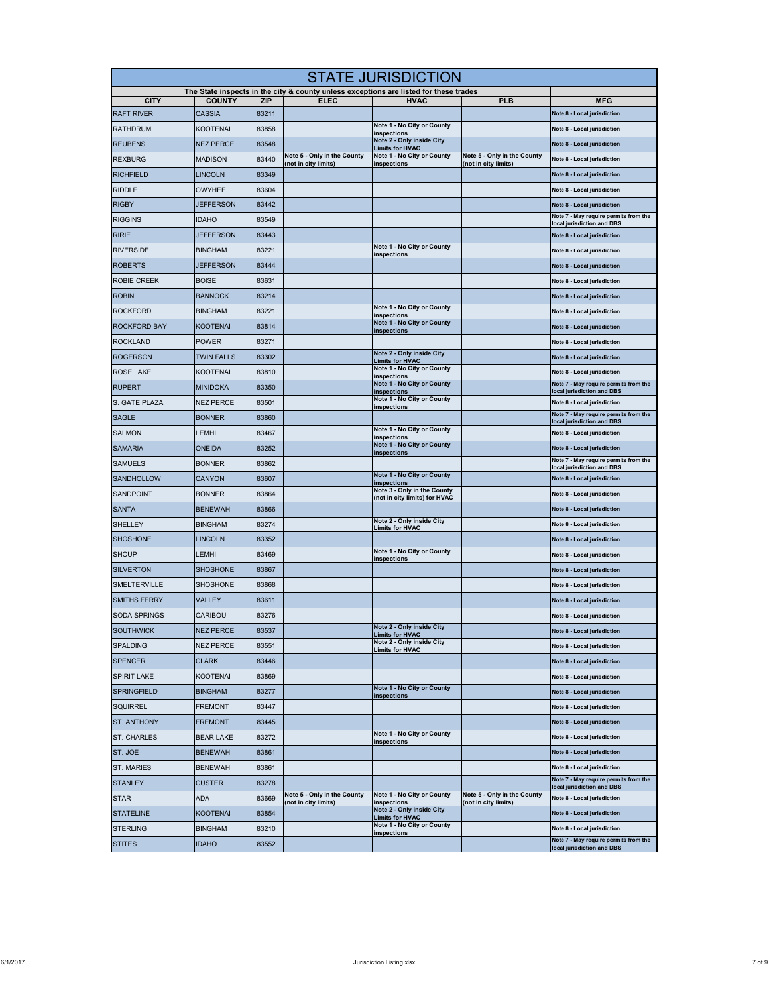| <b>STATE JURISDICTION</b> |                                |                     |                                                     |                                                                                                      |                                                     |                                                                      |  |
|---------------------------|--------------------------------|---------------------|-----------------------------------------------------|------------------------------------------------------------------------------------------------------|-----------------------------------------------------|----------------------------------------------------------------------|--|
| <b>CITY</b>               |                                |                     | <b>ELEC</b>                                         | The State inspects in the city & county unless exceptions are listed for these trades<br><b>HVAC</b> |                                                     |                                                                      |  |
| <b>RAFT RIVER</b>         | <b>COUNTY</b><br><b>CASSIA</b> | <b>ZIP</b><br>83211 |                                                     |                                                                                                      | <b>PLB</b>                                          | <b>MFG</b><br>Note 8 - Local jurisdiction                            |  |
| <b>RATHDRUM</b>           | KOOTENAI                       | 83858               |                                                     | Note 1 - No City or County                                                                           |                                                     | Note 8 - Local jurisdiction                                          |  |
| <b>REUBENS</b>            | <b>NEZ PERCE</b>               | 83548               |                                                     | inspections<br>Note 2 - Only inside City<br><b>Limits for HVAC</b>                                   |                                                     | Note 8 - Local jurisdiction                                          |  |
| <b>REXBURG</b>            | <b>MADISON</b>                 | 83440               | Note 5 - Only in the County<br>(not in city limits) | Note 1 - No City or County<br>inspections                                                            | Note 5 - Only in the County<br>(not in city limits) | Note 8 - Local jurisdiction                                          |  |
| <b>RICHFIELD</b>          | <b>LINCOLN</b>                 | 83349               |                                                     |                                                                                                      |                                                     | Note 8 - Local jurisdiction                                          |  |
| <b>RIDDLE</b>             | <b>OWYHEE</b>                  | 83604               |                                                     |                                                                                                      |                                                     | Note 8 - Local jurisdiction                                          |  |
| <b>RIGBY</b>              | <b>JEFFERSON</b>               | 83442               |                                                     |                                                                                                      |                                                     | Note 8 - Local jurisdiction                                          |  |
| <b>RIGGINS</b>            | IDAHO                          | 83549               |                                                     |                                                                                                      |                                                     | Note 7 - May require permits from the<br>local jurisdiction and DBS  |  |
| <b>RIRIE</b>              | <b>JEFFERSON</b>               | 83443               |                                                     |                                                                                                      |                                                     | Note 8 - Local jurisdiction                                          |  |
| <b>RIVERSIDE</b>          | <b>BINGHAM</b>                 | 83221               |                                                     | Note 1 - No City or County<br>inspections                                                            |                                                     | Note 8 - Local jurisdiction                                          |  |
| <b>ROBERTS</b>            | <b>JEFFERSON</b>               | 83444               |                                                     |                                                                                                      |                                                     | Note 8 - Local jurisdiction                                          |  |
| <b>ROBIE CREEK</b>        | <b>BOISE</b>                   | 83631               |                                                     |                                                                                                      |                                                     | Note 8 - Local jurisdiction                                          |  |
| <b>ROBIN</b>              | <b>BANNOCK</b>                 | 83214               |                                                     |                                                                                                      |                                                     | Note 8 - Local jurisdiction                                          |  |
| <b>ROCKFORD</b>           | <b>BINGHAM</b>                 | 83221               |                                                     | Note 1 - No City or County<br>inspections                                                            |                                                     | Note 8 - Local jurisdiction                                          |  |
| <b>ROCKFORD BAY</b>       | <b>KOOTENAI</b>                | 83814               |                                                     | Note 1 - No City or County<br>inspections                                                            |                                                     | Note 8 - Local jurisdiction                                          |  |
| <b>ROCKLAND</b>           | <b>POWER</b>                   | 83271               |                                                     |                                                                                                      |                                                     | Note 8 - Local jurisdiction                                          |  |
| <b>ROGERSON</b>           | <b>TWIN FALLS</b>              | 83302               |                                                     | Note 2 - Only inside City<br><b>Limits for HVAC</b>                                                  |                                                     | Note 8 - Local jurisdiction                                          |  |
| <b>ROSE LAKE</b>          | KOOTENAI                       | 83810               |                                                     | Note 1 - No City or County<br>inspections                                                            |                                                     | Note 8 - Local jurisdiction                                          |  |
| <b>RUPERT</b>             | <b>MINIDOKA</b>                | 83350               |                                                     | Note 1 - No City or County<br>inspections                                                            |                                                     | Note 7 - May require permits from the<br>local jurisdiction and DBS  |  |
| S. GATE PLAZA             | NEZ PERCE                      | 83501               |                                                     | Note 1 - No City or County<br>inspections                                                            |                                                     | Note 8 - Local jurisdiction                                          |  |
| <b>SAGLE</b>              | <b>BONNER</b>                  | 83860               |                                                     |                                                                                                      |                                                     | Note 7 - May require permits from the<br>local jurisdiction and DBS  |  |
| <b>SALMON</b>             | LEMHI                          | 83467               |                                                     | Note 1 - No City or County<br>inspections                                                            |                                                     | Note 8 - Local jurisdiction                                          |  |
| <b>SAMARIA</b>            | ONEIDA                         | 83252               |                                                     | Note 1 - No City or County<br>inspections                                                            |                                                     | Note 8 - Local jurisdiction                                          |  |
| <b>SAMUELS</b>            | <b>BONNER</b>                  | 83862               |                                                     |                                                                                                      |                                                     | Note 7 - May require permits from the<br>local jurisdiction and DBS  |  |
| <b>SANDHOLLOW</b>         | CANYON                         | 83607               |                                                     | Note 1 - No City or County<br>inspections                                                            |                                                     | Note 8 - Local jurisdiction                                          |  |
| <b>SANDPOINT</b>          | <b>BONNER</b>                  | 83864               |                                                     | Note 3 - Only in the County<br>(not in city limits) for HVAC                                         |                                                     | Note 8 - Local jurisdiction                                          |  |
| <b>SANTA</b>              | <b>BENEWAH</b>                 | 83866               |                                                     | Note 2 - Only inside City                                                                            |                                                     | Note 8 - Local jurisdiction                                          |  |
| <b>SHELLEY</b>            | <b>BINGHAM</b>                 | 83274               |                                                     | <b>Limits for HVAC</b>                                                                               |                                                     | Note 8 - Local jurisdiction                                          |  |
| <b>SHOSHONE</b>           | LINCOLN                        | 83352               |                                                     |                                                                                                      |                                                     | Note 8 - Local jurisdiction                                          |  |
| <b>SHOUP</b>              | LEMHI                          | 83469               |                                                     | Note 1 - No City or County<br>inspections                                                            |                                                     | Note 8 - Local jurisdiction                                          |  |
| <b>SILVERTON</b>          | <b>SHOSHONE</b>                | 83867               |                                                     |                                                                                                      |                                                     | Note 8 - Local jurisdiction                                          |  |
| <b>SMELTERVILLE</b>       | SHOSHONE                       | 83868               |                                                     |                                                                                                      |                                                     | Note 8 - Local jurisdiction                                          |  |
| <b>SMITHS FERRY</b>       | VALLEY                         | 83611               |                                                     |                                                                                                      |                                                     | Note 8 - Local jurisdiction                                          |  |
| <b>SODA SPRINGS</b>       | CARIBOU                        | 83276               |                                                     |                                                                                                      |                                                     | Note 8 - Local jurisdiction                                          |  |
| <b>SOUTHWICK</b>          | NEZ PERCE                      | 83537               |                                                     | Note 2 - Only inside City<br><b>Limits for HVAC</b>                                                  |                                                     | Note 8 - Local jurisdiction                                          |  |
| <b>SPALDING</b>           | <b>NEZ PERCE</b>               | 83551               |                                                     | Note 2 - Only inside City<br><b>Limits for HVAC</b>                                                  |                                                     | Note 8 - Local jurisdiction                                          |  |
| <b>SPENCER</b>            | <b>CLARK</b>                   | 83446               |                                                     |                                                                                                      |                                                     | Note 8 - Local jurisdiction                                          |  |
| <b>SPIRIT LAKE</b>        | KOOTENAI                       | 83869               |                                                     |                                                                                                      |                                                     | Note 8 - Local jurisdiction                                          |  |
| <b>SPRINGFIELD</b>        | <b>BINGHAM</b>                 | 83277               |                                                     | Note 1 - No City or County<br>inspections                                                            |                                                     | Note 8 - Local jurisdiction                                          |  |
| <b>SQUIRREL</b>           | <b>FREMONT</b>                 | 83447               |                                                     |                                                                                                      |                                                     | Note 8 - Local jurisdiction                                          |  |
| ST. ANTHONY               | FREMONT                        | 83445               |                                                     |                                                                                                      |                                                     | Note 8 - Local jurisdiction                                          |  |
| <b>ST. CHARLES</b>        | <b>BEAR LAKE</b>               | 83272               |                                                     | Note 1 - No City or County<br>inspections                                                            |                                                     | Note 8 - Local jurisdiction                                          |  |
| ST. JOE                   | <b>BENEWAH</b>                 | 83861               |                                                     |                                                                                                      |                                                     | Note 8 - Local jurisdiction                                          |  |
| ST. MARIES                | <b>BENEWAH</b>                 | 83861               |                                                     |                                                                                                      |                                                     | Note 8 - Local jurisdiction<br>Note 7 - May require permits from the |  |
| <b>STANLEY</b>            | <b>CUSTER</b>                  | 83278               | Note 5 - Only in the County                         | Note 1 - No City or County                                                                           | Note 5 - Only in the County                         | local jurisdiction and DBS                                           |  |
| <b>STAR</b>               | ADA                            | 83669               | (not in city limits)                                | inspections<br>Note 2 - Only inside City                                                             | (not in city limits)                                | Note 8 - Local jurisdiction                                          |  |
| <b>STATELINE</b>          | KOOTENAI                       | 83854               |                                                     | Limits for HVAC<br>Note 1 - No City or County                                                        |                                                     | Note 8 - Local jurisdiction                                          |  |
| <b>STERLING</b>           | <b>BINGHAM</b>                 | 83210               |                                                     | inspections                                                                                          |                                                     | Note 8 - Local jurisdiction<br>Note 7 - May require permits from the |  |
| <b>STITES</b>             | <b>IDAHO</b>                   | 83552               |                                                     |                                                                                                      |                                                     | local jurisdiction and DBS                                           |  |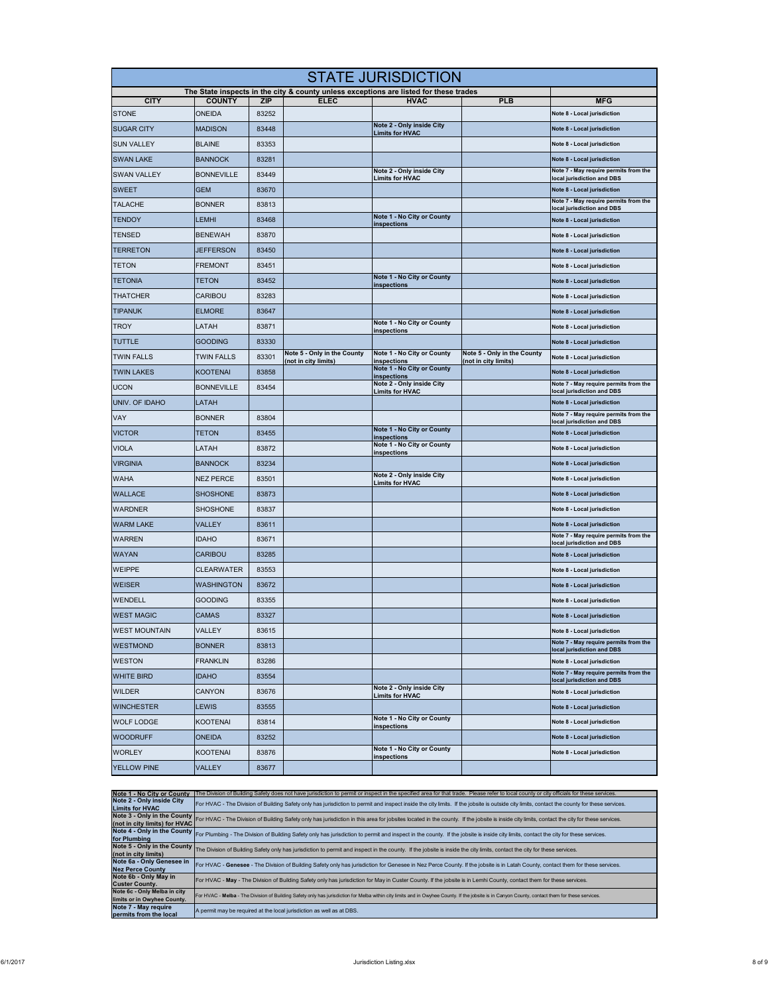| <b>STATE JURISDICTION</b> |                   |                     |                                                     |                                                                                                      |                                                     |                                                                      |  |
|---------------------------|-------------------|---------------------|-----------------------------------------------------|------------------------------------------------------------------------------------------------------|-----------------------------------------------------|----------------------------------------------------------------------|--|
| <b>CITY</b>               | <b>COUNTY</b>     |                     | <b>ELEC</b>                                         | The State inspects in the city & county unless exceptions are listed for these trades<br><b>HVAC</b> |                                                     |                                                                      |  |
| <b>STONE</b>              | ONEIDA            | <b>ZIP</b><br>83252 |                                                     |                                                                                                      | <b>PLB</b>                                          | <b>MFG</b><br>Note 8 - Local jurisdiction                            |  |
| <b>SUGAR CITY</b>         | MADISON           | 83448               |                                                     | Note 2 - Only inside City                                                                            |                                                     | Note 8 - Local jurisdiction                                          |  |
| <b>SUN VALLEY</b>         | <b>BLAINE</b>     | 83353               |                                                     | <b>Limits for HVAC</b>                                                                               |                                                     | Note 8 - Local jurisdiction                                          |  |
| <b>SWAN LAKE</b>          | <b>BANNOCK</b>    | 83281               |                                                     |                                                                                                      |                                                     | Note 8 - Local jurisdiction                                          |  |
|                           | <b>BONNEVILLE</b> |                     |                                                     | Note 2 - Only inside City                                                                            |                                                     | Note 7 - May require permits from the                                |  |
| <b>SWAN VALLEY</b>        |                   | 83449               |                                                     | <b>Limits for HVAC</b>                                                                               |                                                     | local jurisdiction and DBS                                           |  |
| <b>SWEET</b>              | <b>GEM</b>        | 83670               |                                                     |                                                                                                      |                                                     | Note 8 - Local jurisdiction<br>Note 7 - May require permits from the |  |
| <b>TALACHE</b>            | <b>BONNER</b>     | 83813               |                                                     | Note 1 - No City or County                                                                           |                                                     | local jurisdiction and DBS                                           |  |
| <b>TENDOY</b>             | LEMHI             | 83468               |                                                     | inspections                                                                                          |                                                     | Note 8 - Local jurisdiction                                          |  |
| <b>TENSED</b>             | <b>BENEWAH</b>    | 83870               |                                                     |                                                                                                      |                                                     | Note 8 - Local jurisdiction                                          |  |
| <b>TERRETON</b>           | <b>JEFFERSON</b>  | 83450               |                                                     |                                                                                                      |                                                     | Note 8 - Local jurisdiction                                          |  |
| <b>TETON</b>              | <b>FREMONT</b>    | 83451               |                                                     |                                                                                                      |                                                     | Note 8 - Local jurisdiction                                          |  |
| <b>TETONIA</b>            | TETON             | 83452               |                                                     | Note 1 - No City or County<br>inspections                                                            |                                                     | Note 8 - Local jurisdiction                                          |  |
| <b>THATCHER</b>           | CARIBOU           | 83283               |                                                     |                                                                                                      |                                                     | Note 8 - Local jurisdiction                                          |  |
| <b>TIPANUK</b>            | <b>ELMORE</b>     | 83647               |                                                     |                                                                                                      |                                                     | Note 8 - Local jurisdiction                                          |  |
| <b>TROY</b>               | LATAH             | 83871               |                                                     | Note 1 - No City or County<br>inspections                                                            |                                                     | Note 8 - Local jurisdiction                                          |  |
| <b>TUTTLE</b>             | <b>GOODING</b>    | 83330               |                                                     |                                                                                                      |                                                     | Note 8 - Local jurisdiction                                          |  |
| <b>TWIN FALLS</b>         | <b>TWIN FALLS</b> | 83301               | Note 5 - Only in the County<br>(not in city limits) | Note 1 - No City or County<br>inspections                                                            | Note 5 - Only in the County<br>(not in city limits) | Note 8 - Local jurisdiction                                          |  |
| <b>TWIN LAKES</b>         | <b>KOOTENAI</b>   | 83858               |                                                     | Note 1 - No City or County<br>inspections                                                            |                                                     | Note 8 - Local jurisdiction                                          |  |
| <b>UCON</b>               | <b>BONNEVILLE</b> | 83454               |                                                     | Note 2 - Only inside City<br><b>Limits for HVAC</b>                                                  |                                                     | Note 7 - May require permits from the<br>local jurisdiction and DBS  |  |
| UNIV. OF IDAHO            | LATAH             |                     |                                                     |                                                                                                      |                                                     | Note 8 - Local jurisdiction                                          |  |
| VAY                       | <b>BONNER</b>     | 83804               |                                                     |                                                                                                      |                                                     | Note 7 - May require permits from the<br>local jurisdiction and DBS  |  |
| <b>VICTOR</b>             | <b>TETON</b>      | 83455               |                                                     | Note 1 - No City or County<br>inspections                                                            |                                                     | Note 8 - Local jurisdiction                                          |  |
| <b>VIOLA</b>              | LATAH             | 83872               |                                                     | Note 1 - No City or County<br>inspections                                                            |                                                     | Note 8 - Local jurisdiction                                          |  |
| <b>VIRGINIA</b>           | <b>BANNOCK</b>    | 83234               |                                                     |                                                                                                      |                                                     | Note 8 - Local jurisdiction                                          |  |
| <b>WAHA</b>               | <b>NEZ PERCE</b>  | 83501               |                                                     | Note 2 - Only inside City<br><b>Limits for HVAC</b>                                                  |                                                     | Note 8 - Local jurisdiction                                          |  |
| <b>WALLACE</b>            | <b>SHOSHONE</b>   | 83873               |                                                     |                                                                                                      |                                                     | Note 8 - Local jurisdiction                                          |  |
| <b>WARDNER</b>            | <b>SHOSHONE</b>   | 83837               |                                                     |                                                                                                      |                                                     | Note 8 - Local jurisdiction                                          |  |
| <b>WARM LAKE</b>          | VALLEY            | 83611               |                                                     |                                                                                                      |                                                     | Note 8 - Local jurisdiction                                          |  |
| <b>WARREN</b>             | <b>IDAHO</b>      | 83671               |                                                     |                                                                                                      |                                                     | Note 7 - May require permits from the<br>local jurisdiction and DBS  |  |
| <b>WAYAN</b>              | CARIBOU           | 83285               |                                                     |                                                                                                      |                                                     | Note 8 - Local jurisdiction                                          |  |
| <b>WEIPPE</b>             | <b>CLEARWATER</b> | 83553               |                                                     |                                                                                                      |                                                     | Note 8 - Local jurisdiction                                          |  |
| <b>WEISER</b>             | WASHINGTON        | 83672               |                                                     |                                                                                                      |                                                     | Note 8 - Local jurisdiction                                          |  |
| <b>WENDELL</b>            | <b>GOODING</b>    | 83355               |                                                     |                                                                                                      |                                                     | Note 8 - Local jurisdiction                                          |  |
| <b>WEST MAGIC</b>         | CAMAS             | 83327               |                                                     |                                                                                                      |                                                     | Note 8 - Local jurisdiction                                          |  |
| <b>WEST MOUNTAIN</b>      | VALLEY            | 83615               |                                                     |                                                                                                      |                                                     | Note 8 - Local jurisdiction                                          |  |
| <b>WESTMOND</b>           | <b>BONNER</b>     | 83813               |                                                     |                                                                                                      |                                                     | Note 7 - May require permits from the                                |  |
| <b>WESTON</b>             | <b>FRANKLIN</b>   | 83286               |                                                     |                                                                                                      |                                                     | local jurisdiction and DBS<br>Note 8 - Local jurisdiction            |  |
| <b>WHITE BIRD</b>         | <b>IDAHO</b>      | 83554               |                                                     |                                                                                                      |                                                     | Note 7 - May require permits from the                                |  |
| <b>WILDER</b>             | CANYON            | 83676               |                                                     | Note 2 - Only inside City                                                                            |                                                     | local jurisdiction and DBS<br>Note 8 - Local jurisdiction            |  |
| <b>WINCHESTER</b>         | LEWIS             | 83555               |                                                     | <b>Limits for HVAC</b>                                                                               |                                                     | Note 8 - Local jurisdiction                                          |  |
| <b>WOLF LODGE</b>         | <b>KOOTENAI</b>   | 83814               |                                                     | Note 1 - No City or County                                                                           |                                                     | Note 8 - Local jurisdiction                                          |  |
| <b>WOODRUFF</b>           | <b>ONEIDA</b>     | 83252               |                                                     | <b>inspections</b>                                                                                   |                                                     | Note 8 - Local jurisdiction                                          |  |
| <b>WORLEY</b>             | <b>KOOTENAI</b>   | 83876               |                                                     | Note 1 - No City or County                                                                           |                                                     | Note 8 - Local jurisdiction                                          |  |
|                           |                   |                     |                                                     | inspections                                                                                          |                                                     |                                                                      |  |
| YELLOW PINE               | VALLEY            | 83677               |                                                     |                                                                                                      |                                                     |                                                                      |  |

| Note 1 - No City or County                                  | The Division of Building Safety does not have jurisdiction to permit or inspect in the specified area for that trade. Please refer to local county or city officials for these services.                                 |
|-------------------------------------------------------------|--------------------------------------------------------------------------------------------------------------------------------------------------------------------------------------------------------------------------|
| Note 2 - Only inside City<br><b>Limits for HVAC</b>         | For HVAC - The Division of Building Safety only has jurisdiction to permit and inspect inside the city limits. If the jobsite is outside city limits, contact the county for these services.                             |
| (not in city limits) for HVAC                               | Note 3 - Only in the County For HVAC - The Division of Building Safety only has jurisdiction in this area for jobsites located in the county. If the jobsite is inside city limits, contact the city for these services. |
|                                                             | Note 4 - Only in the County For Plumbing - The Division of Building Safety only has jurisdiction to permit and inspect in the county. If the jobsite is inside city limits, contact the city for these services.         |
| (not in city limits)                                        | Note 5 - Only in the County The Division of Building Safety only has jurisdiction to permit and inspect in the county. If the jobsite is inside the city limits, contact the city for these services.                    |
| Note 6a - Only Genesee in<br><b>Nez Perce County</b>        | For HVAC - Genesee - The Division of Building Safety only has jurisdiction for Genesee in Nez Perce County. If the jobsite is in Latah County, contact them for these services.                                          |
| Note 6b - Only May in<br><b>Custer County.</b>              | For HVAC - May - The Division of Building Safety only has jurisdiction for May in Custer County. If the jobsite is in Lemhi County, contact them for these services.                                                     |
| Note 6c - Only Melba in city<br>limits or in Owyhee County. | For HVAC - Melba - The Division of Building Safety only has jurisdiction for Melba within city limits and in Owyhee County. If the jobsite is in Canyon County, contact them for these services.                         |
| Note 7 - May require<br>permits from the local              | A permit may be required at the local jurisdiction as well as at DBS.                                                                                                                                                    |